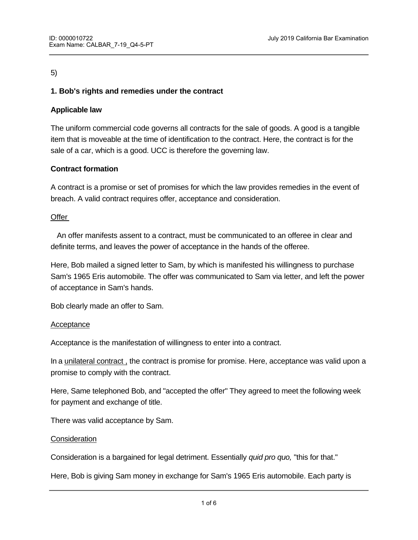# 5)

# **1. Bob's rights and remedies under the contract**

## **Applicable law**

The uniform commercial code governs all contracts for the sale of goods. A good is a tangible item that is moveable at the time of identification to the contract. Here, the contract is for the sale of a car, which is a good. UCC is therefore the governing law.

# **Contract formation**

A contract is a promise or set of promises for which the law provides remedies in the event of breach. A valid contract requires offer, acceptance and consideration.

## **Offer**

 An offer manifests assent to a contract, must be communicated to an offeree in clear and definite terms, and leaves the power of acceptance in the hands of the offeree.

Here, Bob mailed a signed letter to Sam, by which is manifested his willingness to purchase Sam's 1965 Eris automobile. The offer was communicated to Sam via letter, and left the power of acceptance in Sam's hands.

Bob clearly made an offer to Sam.

## Acceptance

Acceptance is the manifestation of willingness to enter into a contract.

In a unilateral contract , the contract is promise for promise. Here, acceptance was valid upon a promise to comply with the contract.

Here, Same telephoned Bob, and "accepted the offer" They agreed to meet the following week for payment and exchange of title.

There was valid acceptance by Sam.

giving something to get something.

#### **Consideration**

Consideration is a bargained for legal detriment. Essentially *quid pro quo,* "this for that."

Here, Bob is giving Sam money in exchange for Sam's 1965 Eris automobile. Each party is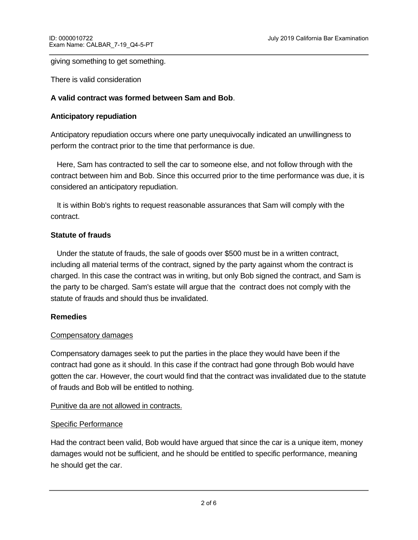### giving something to get something.

There is valid consideration

## **A valid contract was formed between Sam and Bob**.

## **Anticipatory repudiation**

Anticipatory repudiation occurs where one party unequivocally indicated an unwillingness to perform the contract prior to the time that performance is due.

 Here, Sam has contracted to sell the car to someone else, and not follow through with the contract between him and Bob. Since this occurred prior to the time performance was due, it is considered an anticipatory repudiation.

 It is within Bob's rights to request reasonable assurances that Sam will comply with the contract.

## **Statute of frauds**

 Under the statute of frauds, the sale of goods over \$500 must be in a written contract, including all material terms of the contract, signed by the party against whom the contract is charged. In this case the contract was in writing, but only Bob signed the contract, and Sam is the party to be charged. Sam's estate will argue that the contract does not comply with the statute of frauds and should thus be invalidated.

## **Remedies**

## Compensatory damages

Compensatory damages seek to put the parties in the place they would have been if the contract had gone as it should. In this case if the contract had gone through Bob would have gotten the car. However, the court would find that the contract was invalidated due to the statute of frauds and Bob will be entitled to nothing.

## Punitive da are not allowed in contracts.

## Specific Performance

Had the contract been valid, Bob would have argued that since the car is a unique item, money damages would not be sufficient, and he should be entitled to specific performance, meaning he should get the car.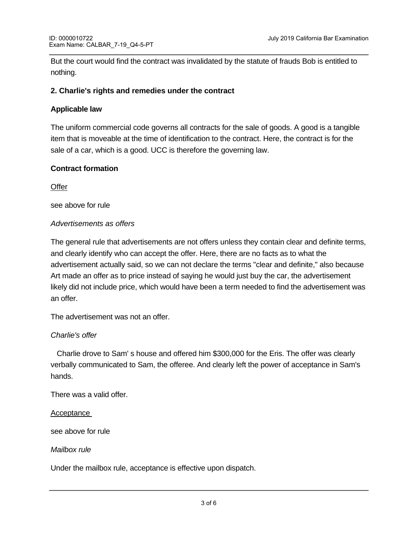But the court would find the contract was invalidated by the statute of frauds Bob is entitled to nothing.

### **2. Charlie's rights and remedies under the contract**

## **Applicable law**

The uniform commercial code governs all contracts for the sale of goods. A good is a tangible item that is moveable at the time of identification to the contract. Here, the contract is for the sale of a car, which is a good. UCC is therefore the governing law.

## **Contract formation**

**Offer** 

see above for rule

### *Advertisements as offers*

The general rule that advertisements are not offers unless they contain clear and definite terms, and clearly identify who can accept the offer. Here, there are no facts as to what the advertisement actually said, so we can not declare the terms "clear and definite," also because Art made an offer as to price instead of saying he would just buy the car, the advertisement likely did not include price, which would have been a term needed to find the advertisement was an offer.

The advertisement was not an offer.

## *Charlie's offer*

 Charlie drove to Sam' s house and offered him \$300,000 for the Eris. The offer was clearly verbally communicated to Sam, the offeree. And clearly left the power of acceptance in Sam's hands.

There was a valid offer.

#### Acceptance

see above for rule

### *Mailbox rule*

Under the mailbox rule, acceptance is effective upon dispatch.

Here, Sam signed Charlie's contract and placed dropped the contract into the mailbox. At this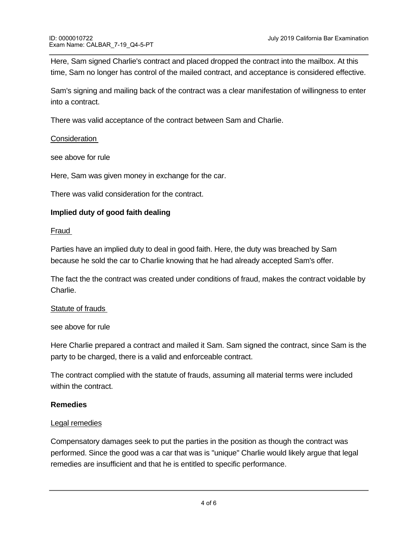Here, Sam signed Charlie's contract and placed dropped the contract into the mailbox. At this time, Sam no longer has control of the mailed contract, and acceptance is considered effective.

Sam's signing and mailing back of the contract was a clear manifestation of willingness to enter into a contract.

There was valid acceptance of the contract between Sam and Charlie.

## **Consideration**

see above for rule

Here, Sam was given money in exchange for the car.

There was valid consideration for the contract.

# **Implied duty of good faith dealing**

## Fraud

Parties have an implied duty to deal in good faith. Here, the duty was breached by Sam because he sold the car to Charlie knowing that he had already accepted Sam's offer.

The fact the the contract was created under conditions of fraud, makes the contract voidable by Charlie.

## Statute of frauds

see above for rule

Here Charlie prepared a contract and mailed it Sam. Sam signed the contract, since Sam is the party to be charged, there is a valid and enforceable contract.

The contract complied with the statute of frauds, assuming all material terms were included within the contract.

## **Remedies**

## Legal remedies

Compensatory damages seek to put the parties in the position as though the contract was performed. Since the good was a car that was is "unique" Charlie would likely argue that legal remedies are insufficient and that he is entitled to specific performance.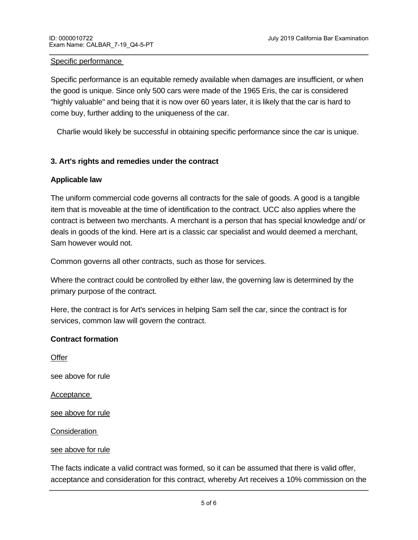#### Specific performance

Specific performance is an equitable remedy available when damages are insufficient, or when the good is unique. Since only 500 cars were made of the 1965 Eris, the car is considered "highly valuable" and being that it is now over 60 years later, it is likely that the car is hard to come buy, further adding to the uniqueness of the car.

Charlie would likely be successful in obtaining specific performance since the car is unique.

## **3. Art's rights and remedies under the contract**

### **Applicable law**

The uniform commercial code governs all contracts for the sale of goods. A good is a tangible item that is moveable at the time of identification to the contract. UCC also applies where the contract is between two merchants. A merchant is a person that has special knowledge and/ or deals in goods of the kind. Here art is a classic car specialist and would deemed a merchant, Sam however would not.

Common governs all other contracts, such as those for services.

Where the contract could be controlled by either law, the governing law is determined by the primary purpose of the contract.

Here, the contract is for Art's services in helping Sam sell the car, since the contract is for services, common law will govern the contract.

#### **Contract formation**

**Offer** see above for rule Acceptance see above for rule Consideration

### see above for rule

sale of the car.

The facts indicate a valid contract was formed, so it can be assumed that there is valid offer, acceptance and consideration for this contract, whereby Art receives a 10% commission on the